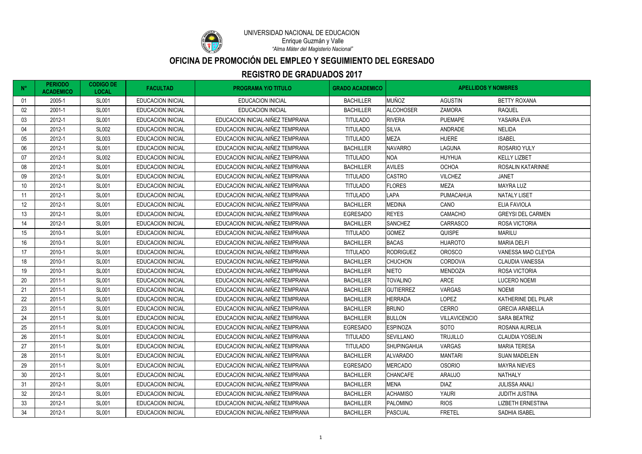| $N^{\circ}$ | <b>PERIODO</b><br><b>ACADEMICO</b> | <b>CODIGO DE</b><br><b>LOCAL</b> | <b>FACULTAD</b>          | <b>PROGRAMA Y/O TITULO</b>       | <b>GRADO ACADEMICO</b> | <b>APELLIDOS Y NOMBRES</b> |                      |                          |
|-------------|------------------------------------|----------------------------------|--------------------------|----------------------------------|------------------------|----------------------------|----------------------|--------------------------|
| 01          | 2005-1                             | <b>SL001</b>                     | <b>EDUCACION INICIAL</b> | <b>EDUCACION INICIAL</b>         | <b>BACHILLER</b>       | <b>MUÑOZ</b>               | <b>AGUSTIN</b>       | <b>BETTY ROXANA</b>      |
| 02          | 2001-1                             | <b>SL001</b>                     | <b>EDUCACION INICIAL</b> | <b>EDUCACION INICIAL</b>         | <b>BACHILLER</b>       | <b>ALCOHOSER</b>           | <b>ZAMORA</b>        | <b>RAQUEL</b>            |
| 03          | 2012-1                             | <b>SL001</b>                     | <b>EDUCACION INICIAL</b> | EDUCACION INICIAL-NIÑEZ TEMPRANA | <b>TITULADO</b>        | <b>RIVERA</b>              | <b>PUEMAPE</b>       | YASAIRA EVA              |
| 04          | 2012-1                             | <b>SL002</b>                     | <b>EDUCACION INICIAL</b> | EDUCACION INICIAL-NIÑEZ TEMPRANA | <b>TITULADO</b>        | <b>SILVA</b>               | ANDRADE              | <b>NELIDA</b>            |
| 05          | 2012-1                             | <b>SL003</b>                     | <b>EDUCACION INICIAL</b> | EDUCACION INICIAL-NIÑEZ TEMPRANA | <b>TITULADO</b>        | <b>MEZA</b>                | <b>HUERE</b>         | <b>ISABEL</b>            |
| 06          | 2012-1                             | <b>SL001</b>                     | <b>EDUCACION INICIAL</b> | EDUCACION INICIAL-NIÑEZ TEMPRANA | <b>BACHILLER</b>       | <b>NAVARRO</b>             | <b>LAGUNA</b>        | <b>ROSARIO YULY</b>      |
| 07          | 2012-1                             | <b>SL002</b>                     | <b>EDUCACION INICIAL</b> | EDUCACION INICIAL-NIÑEZ TEMPRANA | <b>TITULADO</b>        | <b>NOA</b>                 | <b>HUYHUA</b>        | <b>KELLY LIZBET</b>      |
| 08          | 2012-1                             | <b>SL001</b>                     | <b>EDUCACION INICIAL</b> | EDUCACION INICIAL-NIÑEZ TEMPRANA | <b>BACHILLER</b>       | <b>AVILES</b>              | <b>OCHOA</b>         | ROSALIN KATARINNE        |
| 09          | 2012-1                             | <b>SL001</b>                     | <b>EDUCACION INICIAL</b> | EDUCACION INICIAL-NIÑEZ TEMPRANA | <b>TITULADO</b>        | <b>CASTRO</b>              | <b>VILCHEZ</b>       | <b>JANET</b>             |
| 10          | 2012-1                             | <b>SL001</b>                     | <b>EDUCACION INICIAL</b> | EDUCACION INICIAL-NIÑEZ TEMPRANA | <b>TITULADO</b>        | <b>FLORES</b>              | <b>MEZA</b>          | <b>MAYRA LUZ</b>         |
| 11          | 2012-1                             | <b>SL001</b>                     | <b>EDUCACION INICIAL</b> | EDUCACION INICIAL-NIÑEZ TEMPRANA | <b>TITULADO</b>        | LAPA                       | <b>PUMACAHUA</b>     | <b>NATALY LISET</b>      |
| 12          | 2012-1                             | <b>SL001</b>                     | <b>EDUCACION INICIAL</b> | EDUCACION INICIAL-NIÑEZ TEMPRANA | <b>BACHILLER</b>       | <b>MEDINA</b>              | CANO                 | <b>ELIA FAVIOLA</b>      |
| 13          | 2012-1                             | <b>SL001</b>                     | <b>EDUCACION INICIAL</b> | EDUCACION INICIAL-NIÑEZ TEMPRANA | <b>EGRESADO</b>        | <b>REYES</b>               | CAMACHO              | <b>GREYSI DEL CARMEN</b> |
| 14          | 2012-1                             | <b>SL001</b>                     | <b>EDUCACION INICIAL</b> | EDUCACION INICIAL-NIÑEZ TEMPRANA | <b>BACHILLER</b>       | <b>SANCHEZ</b>             | <b>CARRASCO</b>      | <b>ROSA VICTORIA</b>     |
| 15          | 2010-1                             | <b>SL001</b>                     | <b>EDUCACION INICIAL</b> | EDUCACION INICIAL-NIÑEZ TEMPRANA | <b>TITULADO</b>        | <b>GOMEZ</b>               | <b>QUISPE</b>        | <b>MARILU</b>            |
| 16          | 2010-1                             | <b>SL001</b>                     | <b>EDUCACION INICIAL</b> | EDUCACION INICIAL-NIÑEZ TEMPRANA | <b>BACHILLER</b>       | <b>BACAS</b>               | <b>HUAROTO</b>       | <b>MARIA DELFI</b>       |
| 17          | 2010-1                             | <b>SL001</b>                     | <b>EDUCACION INICIAL</b> | EDUCACION INICIAL-NIÑEZ TEMPRANA | <b>TITULADO</b>        | <b>RODRIGUEZ</b>           | <b>OROSCO</b>        | VANESSA MAD CLEYDA       |
| 18          | 2010-1                             | <b>SL001</b>                     | <b>EDUCACION INICIAL</b> | EDUCACION INICIAL-NIÑEZ TEMPRANA | <b>BACHILLER</b>       | <b>CHUCHON</b>             | CORDOVA              | <b>CLAUDIA VANESSA</b>   |
| 19          | 2010-1                             | <b>SL001</b>                     | <b>EDUCACION INICIAL</b> | EDUCACION INICIAL-NIÑEZ TEMPRANA | <b>BACHILLER</b>       | <b>NIETO</b>               | <b>MENDOZA</b>       | <b>ROSA VICTORIA</b>     |
| 20          | 2011-1                             | <b>SL001</b>                     | <b>EDUCACION INICIAL</b> | EDUCACION INICIAL-NIÑEZ TEMPRANA | <b>BACHILLER</b>       | <b>TOVALINO</b>            | <b>ARCE</b>          | <b>LUCERO NOEMI</b>      |
| 21          | 2011-1                             | <b>SL001</b>                     | <b>EDUCACION INICIAL</b> | EDUCACION INICIAL-NIÑEZ TEMPRANA | <b>BACHILLER</b>       | <b>GUTIERREZ</b>           | <b>VARGAS</b>        | <b>NOEMI</b>             |
| 22          | 2011-1                             | <b>SL001</b>                     | <b>EDUCACION INICIAL</b> | EDUCACION INICIAL-NIÑEZ TEMPRANA | <b>BACHILLER</b>       | <b>HERRADA</b>             | <b>LOPEZ</b>         | KATHERINE DEL PILAR      |
| 23          | 2011-1                             | <b>SL001</b>                     | <b>EDUCACION INICIAL</b> | EDUCACION INICIAL-NIÑEZ TEMPRANA | <b>BACHILLER</b>       | <b>BRUNO</b>               | <b>CERRO</b>         | <b>GRECIA ARABELLA</b>   |
| 24          | 2011-1                             | <b>SL001</b>                     | <b>EDUCACION INICIAL</b> | EDUCACION INICIAL-NIÑEZ TEMPRANA | <b>BACHILLER</b>       | <b>BULLON</b>              | <b>VILLAVICENCIO</b> | <b>SARA BEATRIZ</b>      |
| 25          | 2011-1                             | <b>SL001</b>                     | <b>EDUCACION INICIAL</b> | EDUCACION INICIAL-NIÑEZ TEMPRANA | <b>EGRESADO</b>        | <b>ESPINOZA</b>            | <b>SOTO</b>          | ROSANA AURELIA           |
| 26          | 2011-1                             | <b>SL001</b>                     | <b>EDUCACION INICIAL</b> | EDUCACION INICIAL-NIÑEZ TEMPRANA | <b>TITULADO</b>        | <b>SEVILLANO</b>           | <b>TRUJILLO</b>      | <b>CLAUDIA YOSELIN</b>   |
| 27          | 2011-1                             | <b>SL001</b>                     | <b>EDUCACION INICIAL</b> | EDUCACION INICIAL-NIÑEZ TEMPRANA | <b>TITULADO</b>        | <b>SHUPINGAHUA</b>         | <b>VARGAS</b>        | <b>MARIA TERESA</b>      |
| 28          | 2011-1                             | <b>SL001</b>                     | <b>EDUCACION INICIAL</b> | EDUCACION INICIAL-NIÑEZ TEMPRANA | <b>BACHILLER</b>       | <b>ALVARADO</b>            | <b>MANTARI</b>       | <b>SUAN MADELEIN</b>     |
| 29          | 2011-1                             | <b>SL001</b>                     | <b>EDUCACION INICIAL</b> | EDUCACION INICIAL-NIÑEZ TEMPRANA | <b>EGRESADO</b>        | <b>MERCADO</b>             | <b>OSORIO</b>        | <b>MAYRA NIEVES</b>      |
| 30          | 2012-1                             | <b>SL001</b>                     | EDUCACION INICIAL        | EDUCACION INICIAL-NIÑEZ TEMPRANA | <b>BACHILLER</b>       | <b>CHANCAFE</b>            | <b>ARAUJO</b>        | NATHALY                  |
| 31          | 2012-1                             | <b>SL001</b>                     | <b>EDUCACION INICIAL</b> | EDUCACION INICIAL-NIÑEZ TEMPRANA | <b>BACHILLER</b>       | <b>MENA</b>                | DIAZ                 | <b>JULISSA ANALI</b>     |
| 32          | 2012-1                             | <b>SL001</b>                     | <b>EDUCACION INICIAL</b> | EDUCACION INICIAL-NIÑEZ TEMPRANA | <b>BACHILLER</b>       | <b>ACHAMISO</b>            | <b>YAURI</b>         | <b>JUDITH JUSTINA</b>    |
| 33          | 2012-1                             | <b>SL001</b>                     | <b>EDUCACION INICIAL</b> | EDUCACION INICIAL-NIÑEZ TEMPRANA | <b>BACHILLER</b>       | PALOMINO                   | <b>RIOS</b>          | <b>LIZBETH ERNESTINA</b> |
| 34          | 2012-1                             | <b>SL001</b>                     | <b>EDUCACION INICIAL</b> | EDUCACION INICIAL-NIÑEZ TEMPRANA | <b>BACHILLER</b>       | <b>PASCUAL</b>             | <b>FRETEL</b>        | SADHIA ISABEL            |



# **OFICINA DE PROMOCIÓN DEL EMPLEO Y SEGUIMIENTO DEL EGRESADO**

*"Alma Máter del Magisterio Nacional"* Enrique Guzmán y Valle

#### **REGISTRO DE GRADUADOS 2017**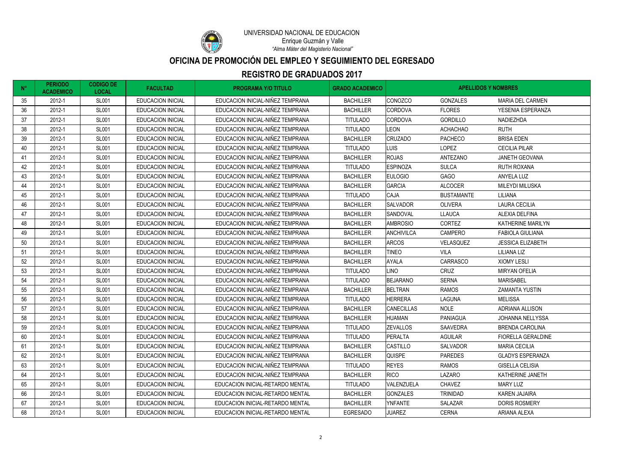# **OFICINA DE PROMOCIÓN DEL EMPLEO Y SEGUIMIENTO DEL EGRESADO**



*"Alma Máter del Magisterio Nacional"*

#### **REGISTRO DE GRADUADOS 2017**

| $N^{\circ}$ | <b>PERIODO</b><br><b>ACADEMICO</b> | <b>CODIGO DE</b><br><b>LOCAL</b> | <b>FACULTAD</b>          | <b>PROGRAMA Y/O TITULO</b>       | <b>GRADO ACADEMICO</b> | <b>APELLIDOS Y NOMBRES</b> |                   |                           |
|-------------|------------------------------------|----------------------------------|--------------------------|----------------------------------|------------------------|----------------------------|-------------------|---------------------------|
| 35          | 2012-1                             | <b>SL001</b>                     | <b>EDUCACION INICIAL</b> | EDUCACION INICIAL-NIÑEZ TEMPRANA | <b>BACHILLER</b>       | <b>CONOZCO</b>             | <b>GONZALES</b>   | <b>MARIA DEL CARMEN</b>   |
| 36          | 2012-1                             | <b>SL001</b>                     | <b>EDUCACION INICIAL</b> | EDUCACION INICIAL-NIÑEZ TEMPRANA | <b>BACHILLER</b>       | <b>CORDOVA</b>             | <b>FLORES</b>     | YESENIA ESPERANZA         |
| 37          | 2012-1                             | <b>SL001</b>                     | <b>EDUCACION INICIAL</b> | EDUCACION INICIAL-NIÑEZ TEMPRANA | <b>TITULADO</b>        | <b>CORDOVA</b>             | <b>GORDILLO</b>   | NADIEZHDA                 |
| 38          | 2012-1                             | <b>SL001</b>                     | <b>EDUCACION INICIAL</b> | EDUCACION INICIAL-NIÑEZ TEMPRANA | <b>TITULADO</b>        | <b>LEON</b>                | <b>ACHACHAO</b>   | <b>RUTH</b>               |
| 39          | 2012-1                             | <b>SL001</b>                     | <b>EDUCACION INICIAL</b> | EDUCACION INICIAL-NIÑEZ TEMPRANA | <b>BACHILLER</b>       | <b>CRUZADO</b>             | <b>PACHECO</b>    | <b>BRISA EDEN</b>         |
| 40          | 2012-1                             | <b>SL001</b>                     | <b>EDUCACION INICIAL</b> | EDUCACION INICIAL-NIÑEZ TEMPRANA | <b>TITULADO</b>        | LUIS                       | <b>LOPEZ</b>      | <b>CECILIA PILAR</b>      |
| 41          | 2012-1                             | <b>SL001</b>                     | <b>EDUCACION INICIAL</b> | EDUCACION INICIAL-NIÑEZ TEMPRANA | <b>BACHILLER</b>       | <b>ROJAS</b>               | ANTEZANO          | JANETH GEOVANA            |
| 42          | 2012-1                             | <b>SL001</b>                     | <b>EDUCACION INICIAL</b> | EDUCACION INICIAL-NIÑEZ TEMPRANA | <b>TITULADO</b>        | <b>ESPINOZA</b>            | <b>SULCA</b>      | <b>RUTH ROXANA</b>        |
| 43          | 2012-1                             | <b>SL001</b>                     | <b>EDUCACION INICIAL</b> | EDUCACION INICIAL-NIÑEZ TEMPRANA | <b>BACHILLER</b>       | <b>EULOGIO</b>             | <b>GAGO</b>       | ANYELA LUZ                |
| 44          | 2012-1                             | <b>SL001</b>                     | <b>EDUCACION INICIAL</b> | EDUCACION INICIAL-NIÑEZ TEMPRANA | <b>BACHILLER</b>       | <b>GARCIA</b>              | <b>ALCOCER</b>    | <b>MILEYDI MILUSKA</b>    |
| 45          | 2012-1                             | <b>SL001</b>                     | <b>EDUCACION INICIAL</b> | EDUCACION INICIAL-NIÑEZ TEMPRANA | <b>TITULADO</b>        | <b>CAJA</b>                | <b>BUSTAMANTE</b> | <b>LILIANA</b>            |
| 46          | 2012-1                             | <b>SL001</b>                     | <b>EDUCACION INICIAL</b> | EDUCACION INICIAL-NIÑEZ TEMPRANA | <b>BACHILLER</b>       | <b>SALVADOR</b>            | <b>OLIVERA</b>    | <b>LAURA CECILIA</b>      |
| 47          | 2012-1                             | <b>SL001</b>                     | <b>EDUCACION INICIAL</b> | EDUCACION INICIAL-NIÑEZ TEMPRANA | <b>BACHILLER</b>       | SANDOVAL                   | <b>LLAUCA</b>     | <b>ALEXIA DELFINA</b>     |
| 48          | 2012-1                             | <b>SL001</b>                     | <b>EDUCACION INICIAL</b> | EDUCACION INICIAL-NIÑEZ TEMPRANA | <b>BACHILLER</b>       | <b>AMBROSIO</b>            | <b>CORTEZ</b>     | KATHERINE MARILYN         |
| 49          | 2012-1                             | <b>SL001</b>                     | <b>EDUCACION INICIAL</b> | EDUCACION INICIAL-NIÑEZ TEMPRANA | <b>BACHILLER</b>       | <b>ANCHIVILCA</b>          | CAMPERO           | <b>FABIOLA GIULIANA</b>   |
| 50          | 2012-1                             | <b>SL001</b>                     | <b>EDUCACION INICIAL</b> | EDUCACION INICIAL-NIÑEZ TEMPRANA | <b>BACHILLER</b>       | <b>ARCOS</b>               | VELASQUEZ         | <b>JESSICA ELIZABETH</b>  |
| 51          | 2012-1                             | <b>SL001</b>                     | <b>EDUCACION INICIAL</b> | EDUCACION INICIAL-NIÑEZ TEMPRANA | <b>BACHILLER</b>       | <b>TINEO</b>               | <b>VILA</b>       | LILIANA LIZ               |
| 52          | 2012-1                             | <b>SL001</b>                     | <b>EDUCACION INICIAL</b> | EDUCACION INICIAL-NIÑEZ TEMPRANA | <b>BACHILLER</b>       | <b>AYALA</b>               | <b>CARRASCO</b>   | <b>XIOMY LESLI</b>        |
| 53          | 2012-1                             | <b>SL001</b>                     | <b>EDUCACION INICIAL</b> | EDUCACION INICIAL-NIÑEZ TEMPRANA | <b>TITULADO</b>        | LINO                       | CRUZ              | <b>MIRYAN OFELIA</b>      |
| 54          | 2012-1                             | <b>SL001</b>                     | <b>EDUCACION INICIAL</b> | EDUCACION INICIAL-NIÑEZ TEMPRANA | <b>TITULADO</b>        | <b>BEJARANO</b>            | <b>SERNA</b>      | <b>MARISABEL</b>          |
| 55          | 2012-1                             | <b>SL001</b>                     | <b>EDUCACION INICIAL</b> | EDUCACION INICIAL-NIÑEZ TEMPRANA | <b>BACHILLER</b>       | <b>BELTRAN</b>             | <b>RAMOS</b>      | <b>ZAMANTA YUSTIN</b>     |
| 56          | 2012-1                             | <b>SL001</b>                     | <b>EDUCACION INICIAL</b> | EDUCACION INICIAL-NIÑEZ TEMPRANA | <b>TITULADO</b>        | <b>HERRERA</b>             | <b>LAGUNA</b>     | <b>MELISSA</b>            |
| 57          | 2012-1                             | <b>SL001</b>                     | <b>EDUCACION INICIAL</b> | EDUCACION INICIAL-NIÑEZ TEMPRANA | <b>BACHILLER</b>       | <b>CANECILLAS</b>          | <b>NOLE</b>       | ADRIANA ALLISON           |
| 58          | 2012-1                             | <b>SL001</b>                     | <b>EDUCACION INICIAL</b> | EDUCACION INICIAL-NIÑEZ TEMPRANA | <b>BACHILLER</b>       | HUAMAN                     | <b>PANIAGUA</b>   | <b>JOHANNA NELLYSSA</b>   |
| 59          | 2012-1                             | <b>SL001</b>                     | <b>EDUCACION INICIAL</b> | EDUCACION INICIAL-NIÑEZ TEMPRANA | <b>TITULADO</b>        | <b>ZEVALLOS</b>            | <b>SAAVEDRA</b>   | <b>BRENDA CAROLINA</b>    |
| 60          | 2012-1                             | <b>SL001</b>                     | <b>EDUCACION INICIAL</b> | EDUCACION INICIAL-NIÑEZ TEMPRANA | <b>TITULADO</b>        | <b>PERALTA</b>             | <b>AGUILAR</b>    | <b>FIORELLA GERALDINE</b> |
| 61          | 2012-1                             | <b>SL001</b>                     | <b>EDUCACION INICIAL</b> | EDUCACION INICIAL-NIÑEZ TEMPRANA | <b>BACHILLER</b>       | <b>CASTILLO</b>            | <b>SALVADOR</b>   | <b>MARIA CECILIA</b>      |
| 62          | 2012-1                             | <b>SL001</b>                     | <b>EDUCACION INICIAL</b> | EDUCACION INICIAL-NIÑEZ TEMPRANA | <b>BACHILLER</b>       | <b>QUISPE</b>              | <b>PAREDES</b>    | <b>GLADYS ESPERANZA</b>   |
| 63          | 2012-1                             | <b>SL001</b>                     | <b>EDUCACION INICIAL</b> | EDUCACION INICIAL-NIÑEZ TEMPRANA | <b>TITULADO</b>        | <b>REYES</b>               | <b>RAMOS</b>      | <b>GISELLA CELISIA</b>    |
| 64          | 2012-1                             | <b>SL001</b>                     | <b>EDUCACION INICIAL</b> | EDUCACION INICIAL-NIÑEZ TEMPRANA | <b>BACHILLER</b>       | <b>RICO</b>                | LAZARO            | KATHERINE JANETH          |
| 65          | 2012-1                             | <b>SL001</b>                     | <b>EDUCACION INICIAL</b> | EDUCACION INICIAL-RETARDO MENTAL | <b>TITULADO</b>        | VALENZUELA                 | <b>CHAVEZ</b>     | <b>MARY LUZ</b>           |
| 66          | 2012-1                             | <b>SL001</b>                     | <b>EDUCACION INICIAL</b> | EDUCACION INICIAL-RETARDO MENTAL | <b>BACHILLER</b>       | <b>GONZALES</b>            | TRINIDAD          | <b>KAREN JAJAIRA</b>      |
| 67          | 2012-1                             | <b>SL001</b>                     | <b>EDUCACION INICIAL</b> | EDUCACION INICIAL-RETARDO MENTAL | <b>BACHILLER</b>       | <b>YNFANTE</b>             | SALAZAR           | <b>DORIS ROSMERY</b>      |
| 68          | 2012-1                             | <b>SL001</b>                     | EDUCACION INICIAL        | EDUCACION INICIAL-RETARDO MENTAL | <b>EGRESADO</b>        | <b>JUAREZ</b>              | <b>CERNA</b>      | ARIANA ALEXA              |